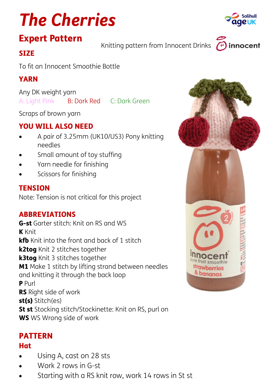# *The Cherries*

## Expert Pattern

Knitting pattern from Innocent Drinks  $\curvearrow{C}$ 

## **SIZE**

To fit an Innocent Smoothie Bottle

## YARN

Any DK weight yarn A: Light Pink B: Dark Red C: Dark Green

Scraps of brown yarn

## YOU WILL ALSO NEED

- A pair of 3.25mm (UK10/US3) Pony knitting needles
- Small amount of toy stuffing
- Yarn needle for finishing
- Scissors for finishing

## **TENSION**

Note: Tension is not critical for this project

## **ABBREVIATIONS**

G-st Garter stitch: Knit on RS and WS K Knit kfb Knit into the front and back of 1 stitch k2tog Knit 2 stitches together k3tog Knit 3 stitches together **M1** Make 1 stitch by lifting strand between needles and knitting it through the back loop P Purl RS Right side of work st(s) Stitch(es) St st Stocking stitch/Stockinette: Knit on RS, purl on WS WS Wrong side of work

## PATTERN

#### **Hat**

- Using A, cast on 28 sts
- Work 2 rows in G-st
- Starting with a RS knit row, work 14 rows in St st





innocent